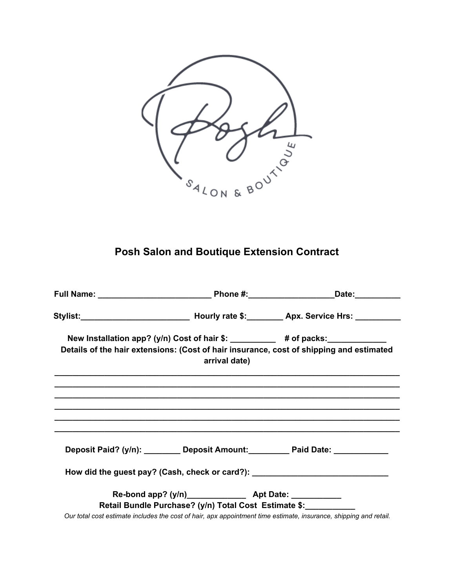

# **Posh Salon and Boutique Extension Contract**

| arrival date)                                         | New Installation app? (y/n) Cost of hair \$: __________ # of packs: ____________<br>Details of the hair extensions: (Cost of hair insurance, cost of shipping and estimated |
|-------------------------------------------------------|-----------------------------------------------------------------------------------------------------------------------------------------------------------------------------|
|                                                       |                                                                                                                                                                             |
|                                                       | Deposit Paid? (y/n): ________ Deposit Amount: ________ Paid Date: ____________                                                                                              |
|                                                       | How did the guest pay? (Cash, check or card?): _________________________________                                                                                            |
| Retail Bundle Purchase? (y/n) Total Cost Estimate \$: | Our total cost estimate includes the cost of hair, apx appointment time estimate, insurance, shipping and retail.                                                           |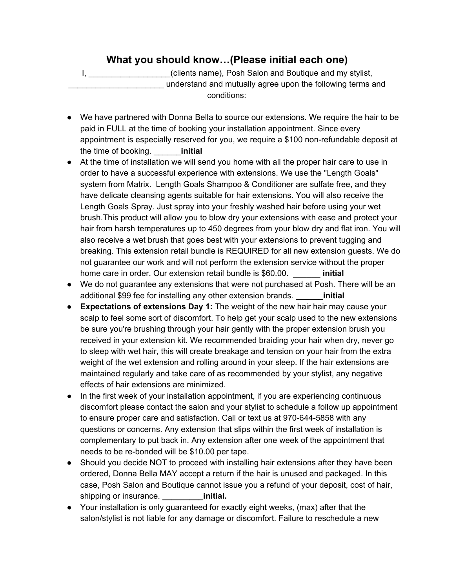# **What you should know…(Please initial each one)**

I, \_\_\_\_\_\_\_\_\_\_\_\_\_\_\_\_\_\_(clients name), Posh Salon and Boutique and my stylist, understand and mutually agree upon the following terms and conditions:

- We have partnered with Donna Bella to source our extensions. We require the hair to be paid in FULL at the time of booking your installation appointment. Since every appointment is especially reserved for you, we require a \$100 non-refundable deposit at the time of booking. \_\_\_\_\_\_**initial**
- At the time of installation we will send you home with all the proper hair care to use in order to have a successful experience with extensions. We use the "Length Goals" system from Matrix. Length Goals Shampoo & Conditioner are sulfate free, and they have delicate cleansing agents suitable for hair extensions. You will also receive the Length Goals Spray. Just spray into your freshly washed hair before using your wet brush.This product will allow you to blow dry your extensions with ease and protect your hair from harsh temperatures up to 450 degrees from your blow dry and flat iron. You will also receive a wet brush that goes best with your extensions to prevent tugging and breaking. This extension retail bundle is REQUIRED for all new extension guests. We do not guarantee our work and will not perform the extension service without the proper home care in order. Our extension retail bundle is \$60.00. **\_\_\_\_\_\_ initial**
- We do not guarantee any extensions that were not purchased at Posh. There will be an additional \$99 fee for installing any other extension brands. **\_\_\_\_\_\_initial**
- **Expectations of extensions Day 1:** The weight of the new hair hair may cause your scalp to feel some sort of discomfort. To help get your scalp used to the new extensions be sure you're brushing through your hair gently with the proper extension brush you received in your extension kit. We recommended braiding your hair when dry, never go to sleep with wet hair, this will create breakage and tension on your hair from the extra weight of the wet extension and rolling around in your sleep. If the hair extensions are maintained regularly and take care of as recommended by your stylist, any negative effects of hair extensions are minimized.
- In the first week of your installation appointment, if you are experiencing continuous discomfort please contact the salon and your stylist to schedule a follow up appointment to ensure proper care and satisfaction. Call or text us at 970-644-5858 with any questions or concerns. Any extension that slips within the first week of installation is complementary to put back in. Any extension after one week of the appointment that needs to be re-bonded will be \$10.00 per tape.
- **●** Should you decide NOT to proceed with installing hair extensions after they have been ordered, Donna Bella MAY accept a return if the hair is unused and packaged. In this case, Posh Salon and Boutique cannot issue you a refund of your deposit, cost of hair, shipping or insurance. **and initial.**
- Your installation is only guaranteed for exactly eight weeks, (max) after that the salon/stylist is not liable for any damage or discomfort. Failure to reschedule a new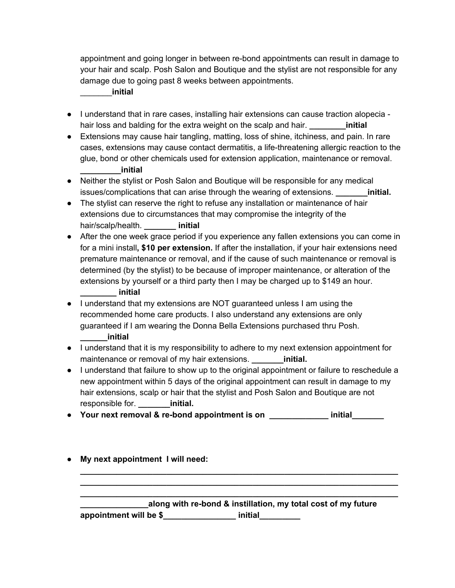appointment and going longer in between re-bond appointments can result in damage to your hair and scalp. Posh Salon and Boutique and the stylist are not responsible for any damage due to going past 8 weeks between appointments.

### \_\_\_\_\_\_\_**initial**

- I understand that in rare cases, installing hair extensions can cause traction alopecia hair loss and balding for the extra weight on the scalp and hair. **\_\_\_\_\_\_\_\_initial**
- **●** Extensions may cause hair tangling, matting, loss of shine, itchiness, and pain. In rare cases, extensions may cause contact dermatitis, a life-threatening allergic reaction to the glue, bond or other chemicals used for extension application, maintenance or removal. **\_\_\_\_\_\_\_\_\_initial**
- **●** Neither the stylist or Posh Salon and Boutique will be responsible for any medical issues/complications that can arise through the wearing of extensions. **\_\_\_\_\_\_\_initial.**
- The stylist can reserve the right to refuse any installation or maintenance of hair extensions due to circumstances that may compromise the integrity of the hair/scalp/health. **\_\_\_\_\_\_\_ initial**
- After the one week grace period if you experience any fallen extensions you can come in for a mini install**, \$10 per extension.** If after the installation, if your hair extensions need premature maintenance or removal, and if the cause of such maintenance or removal is determined (by the stylist) to be because of improper maintenance, or alteration of the extensions by yourself or a third party then I may be charged up to \$149 an hour. **\_\_\_\_\_\_\_\_ initial**
- I understand that my extensions are NOT guaranteed unless I am using the recommended home care products. I also understand any extensions are only guaranteed if I am wearing the Donna Bella Extensions purchased thru Posh. **\_\_\_\_\_\_initial**
- **●** I understand that it is my responsibility to adhere to my next extension appointment for maintenance or removal of my hair extensions. **\_\_\_\_\_\_\_\_initial.**
- **●** I understand that failure to show up to the original appointment or failure to reschedule a new appointment within 5 days of the original appointment can result in damage to my hair extensions, scalp or hair that the stylist and Posh Salon and Boutique are not responsible for. **\_\_\_\_\_\_\_initial.**
- **● Your next removal & re-bond appointment is on \_\_\_\_\_\_\_\_\_\_\_\_\_ initial\_\_\_\_\_\_\_**
- **● My next appointment I will need:**

|                        | along with re-bond & instillation, my total cost of my future |  |
|------------------------|---------------------------------------------------------------|--|
| appointment will be \$ | initial                                                       |  |

**\_\_\_\_\_\_\_\_\_\_\_\_\_\_\_\_\_\_\_\_\_\_\_\_\_\_\_\_\_\_\_\_\_\_\_\_\_\_\_\_\_\_\_\_\_\_\_\_\_\_\_\_\_\_\_\_\_\_\_\_\_\_\_\_\_\_\_\_\_\_ \_\_\_\_\_\_\_\_\_\_\_\_\_\_\_\_\_\_\_\_\_\_\_\_\_\_\_\_\_\_\_\_\_\_\_\_\_\_\_\_\_\_\_\_\_\_\_\_\_\_\_\_\_\_\_\_\_\_\_\_\_\_\_\_\_\_\_\_\_\_ \_\_\_\_\_\_\_\_\_\_\_\_\_\_\_\_\_\_\_\_\_\_\_\_\_\_\_\_\_\_\_\_\_\_\_\_\_\_\_\_\_\_\_\_\_\_\_\_\_\_\_\_\_\_\_\_\_\_\_\_\_\_\_\_\_\_\_\_\_\_**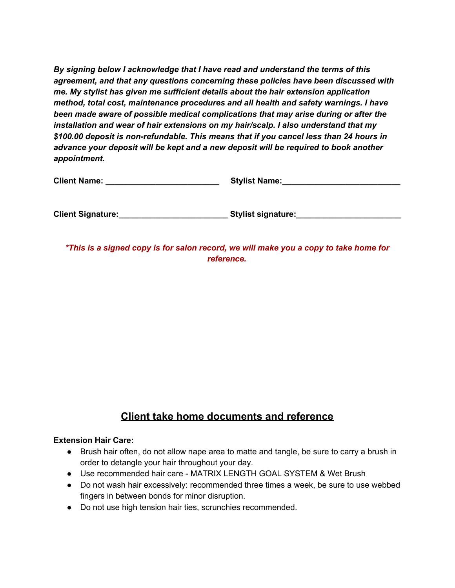*By signing below I acknowledge that I have read and understand the terms of this agreement, and that any questions concerning these policies have been discussed with me. My stylist has given me sufficient details about the hair extension application method, total cost, maintenance procedures and all health and safety warnings. I have been made aware of possible medical complications that may arise during or after the installation and wear of hair extensions on my hair/scalp. I also understand that my \$100.00 deposit is non-refundable. This means that if you cancel less than 24 hours in advance your deposit will be kept and a new deposit will be required to book another appointment.*

| <b>Client Name:</b> | <b>Stylist Name:</b> |  |
|---------------------|----------------------|--|
|                     |                      |  |

**Client Signature:\_\_\_\_\_\_\_\_\_\_\_\_\_\_\_\_\_\_\_\_\_\_\_\_ Stylist signature:\_\_\_\_\_\_\_\_\_\_\_\_\_\_\_\_\_\_\_\_\_\_\_**

*\*This is a signed copy is for salon record, we will make you a copy to take home for reference.*

## **Client take home documents and reference**

#### **Extension Hair Care:**

- Brush hair often, do not allow nape area to matte and tangle, be sure to carry a brush in order to detangle your hair throughout your day.
- Use recommended hair care MATRIX LENGTH GOAL SYSTEM & Wet Brush
- Do not wash hair excessively: recommended three times a week, be sure to use webbed fingers in between bonds for minor disruption.
- Do not use high tension hair ties, scrunchies recommended.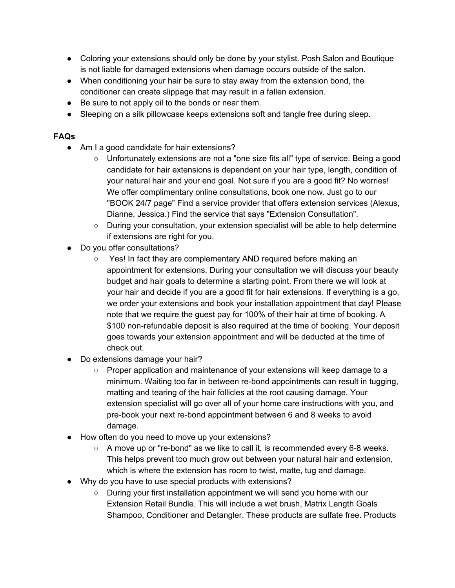- Coloring your extensions should only be done by your stylist. Posh Salon and Boutique is not liable for damaged extensions when damage occurs outside of the salon.
- When conditioning your hair be sure to stay away from the extension bond, the conditioner can create slippage that may result in a fallen extension.
- Be sure to not apply oil to the bonds or near them.
- Sleeping on a silk pillowcase keeps extensions soft and tangle free during sleep.

### **FAQs**

- Am I a good candidate for hair extensions?
	- Unfortunately extensions are not a "one size fits all" type of service. Being a good candidate for hair extensions is dependent on your hair type, length, condition of your natural hair and your end goal. Not sure if you are a good fit? No worries! We offer complimentary online consultations, book one now. Just go to our "BOOK 24/7 page" Find a service provider that offers extension services (Alexus, Dianne, Jessica.) Find the service that says "Extension Consultation".
	- During your consultation, your extension specialist will be able to help determine if extensions are right for you.
- Do you offer consultations?
	- Yes! In fact they are complementary AND required before making an appointment for extensions. During your consultation we will discuss your beauty budget and hair goals to determine a starting point. From there we will look at your hair and decide if you are a good fit for hair extensions. If everything is a go, we order your extensions and book your installation appointment that day! Please note that we require the guest pay for 100% of their hair at time of booking. A \$100 non-refundable deposit is also required at the time of booking. Your deposit goes towards your extension appointment and will be deducted at the time of check out.
- Do extensions damage your hair?
	- Proper application and maintenance of your extensions will keep damage to a minimum. Waiting too far in between re-bond appointments can result in tugging, matting and tearing of the hair follicles at the root causing damage. Your extension specialist will go over all of your home care instructions with you, and pre-book your next re-bond appointment between 6 and 8 weeks to avoid damage.
- How often do you need to move up your extensions?
	- $\circ$  A move up or "re-bond" as we like to call it, is recommended every 6-8 weeks. This helps prevent too much grow out between your natural hair and extension, which is where the extension has room to twist, matte, tug and damage.
- Why do you have to use special products with extensions?
	- During your first installation appointment we will send you home with our Extension Retail Bundle. This will include a wet brush, Matrix Length Goals Shampoo, Conditioner and Detangler. These products are sulfate free. Products